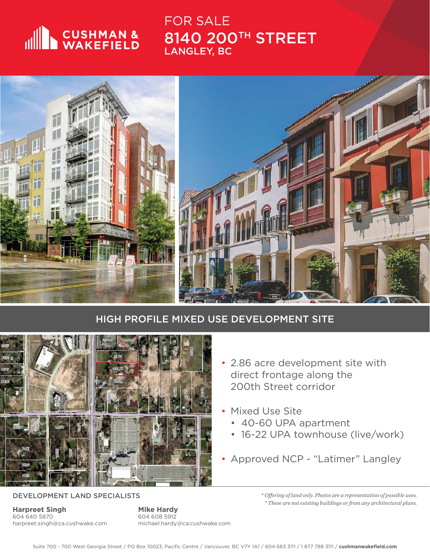

FOR SALE 8140 200TH STREET LANGLEY, BC



## HIGH PROFILE MIXED USE DEVELOPMENT SITE



DEVELOPMENT LAND SPECIALISTS

**Harpreet Singh** 604 640 5870 harpreet.singh@ca.cushwake.com **Mike Hardy** 604 608 5912 michael.hardy@ca.cushwake.com

- 2.86 acre development site with direct frontage along the 200th Street corridor
- **Mixed Use Site** 
	- 40-60 UPA apartment
	- 16-22 UPA townhouse (live/work)
- Approved NCP "Latimer" Langley

*\* Off ering of land only. Photos are a representation of possible uses. \* These are not existing buildings or from any architectural plans.*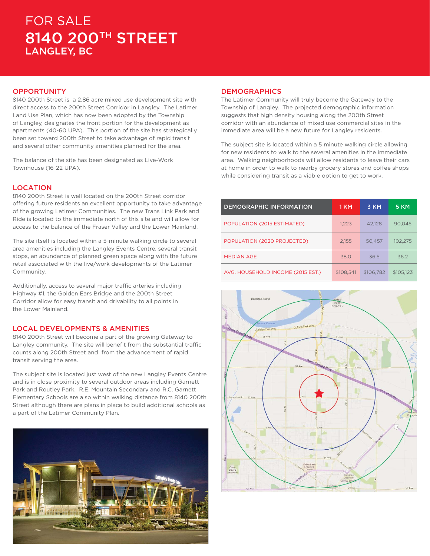# FOR SALE 8140 200TH STREET LANGLEY, BC

#### **OPPORTUNITY**

8140 200th Street is a 2.86 acre mixed use development site with direct access to the 200th Street Corridor in Langley. The Latimer Land Use Plan, which has now been adopted by the Township of Langley, designates the front portion for the development as apartments (40-60 UPA). This portion of the site has strategically been set toward 200th Street to take advantage of rapid transit and several other community amenities planned for the area.

The balance of the site has been designated as Live-Work Townhouse (16-22 UPA).

#### LOCATION

8140 200th Street is well located on the 200th Street corridor offering future residents an excellent opportunity to take advantage of the growing Latimer Communities. The new Trans Link Park and Ride is located to the immediate north of this site and will allow for access to the balance of the Fraser Valley and the Lower Mainland.

The site itself is located within a 5-minute walking circle to several area amenities including the Langley Events Centre, several transit stops, an abundance of planned green space along with the future retail associated with the live/work developments of the Latimer Community.

Additionally, access to several major traffic arteries including Highway #1, the Golden Ears Bridge and the 200th Street Corridor allow for easy transit and drivability to all points in the Lower Mainland.

#### LOCAL DEVELOPMENTS & AMENITIES

8140 200th Street will become a part of the growing Gateway to Langley community. The site will benefit from the substantial traffic counts along 200th Street and from the advancement of rapid transit serving the area.

The subject site is located just west of the new Langley Events Centre and is in close proximity to several outdoor areas including Garnett Park and Routley Park. R.E. Mountain Secondary and R.C. Garnett Elementary Schools are also within walking distance from 8140 200th Street although there are plans in place to build additional schools as a part of the Latimer Community Plan.



#### **DEMOGRAPHICS**

The Latimer Community will truly become the Gateway to the Township of Langley. The projected demographic information suggests that high density housing along the 200th Street corridor with an abundance of mixed use commercial sites in the immediate area will be a new future for Langley residents.

The subject site is located within a 5 minute walking circle allowing for new residents to walk to the several amenities in the immediate area. Walking neighborhoods will allow residents to leave their cars at home in order to walk to nearby grocery stores and coffee shops while considering transit as a viable option to get to work.

| <b>DEMOGRAPHIC INFORMATION</b>    | 1 KM      | 3 KM      | <b>5 KM</b> |
|-----------------------------------|-----------|-----------|-------------|
| POPULATION (2015 ESTIMATED)       | 1.223     | 42.128    | 90.045      |
| POPULATION (2020 PROJECTED)       | 2.155     | 50.457    | 102.275     |
| <b>MEDIAN AGE</b>                 | 38.0      | 36.5      | 36.2        |
| AVG. HOUSEHOLD INCOME (2015 EST.) | \$108.541 | \$106.782 | \$105.123   |

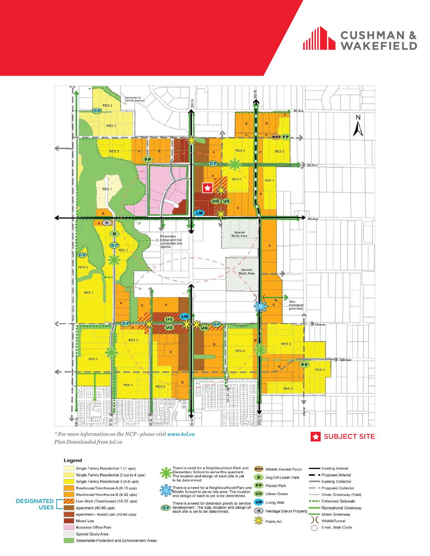# CUSHMAN &



There is need for a Neighbourhood Park and<br>Elementary School to serve this quadrant.<br>The location and design of each site is yet<br>to be determined

There is a need for a Neighbourhood Park and<br>Middle School to serve this area. The location<br>and design of each is yet to be determined.

There is a need for detention ponds to service<br>development. The size, location and design of<br>each site is yet to be determined.

Plan Downloaded from tol.ca

#### Legend

Single Family Residential 1 (1 upa) Single Family Residential 2 (up to 4 upa) Single Family Residential 3 (6-8 upa) Rowhouse/Townhouse A (8-15 upa) Rowhouse/Townhouse B (8-22 upa) **DESIGNATED** Live-Work (Townhouse) (16-22 upa) **USES** Apartment (40-60 upa) Apartment - Mixed Use (40-60 upa) Mixed Use **Business Office Park** 

Special Study Area

Streamside Protection and Enhancement Areas

- D Dog Off-Leash Park **PP** Pocket Park
- **UG** Urban Green
- LW Living Wall
- Heritage Site or Proper
- Public Art
- Recreational Greenway Street Greenway (WildlifeTunnel  $\binom{m}{k}$  5 min. Walk Circle
- Existing Arterial Proposed Arterial Existing Collector = Proposed Collector
	- ---- Creek Greenway (Trail) **BREE** Enhanced Sidewalk
	-

**WHP** Wildlife Habitat Patch